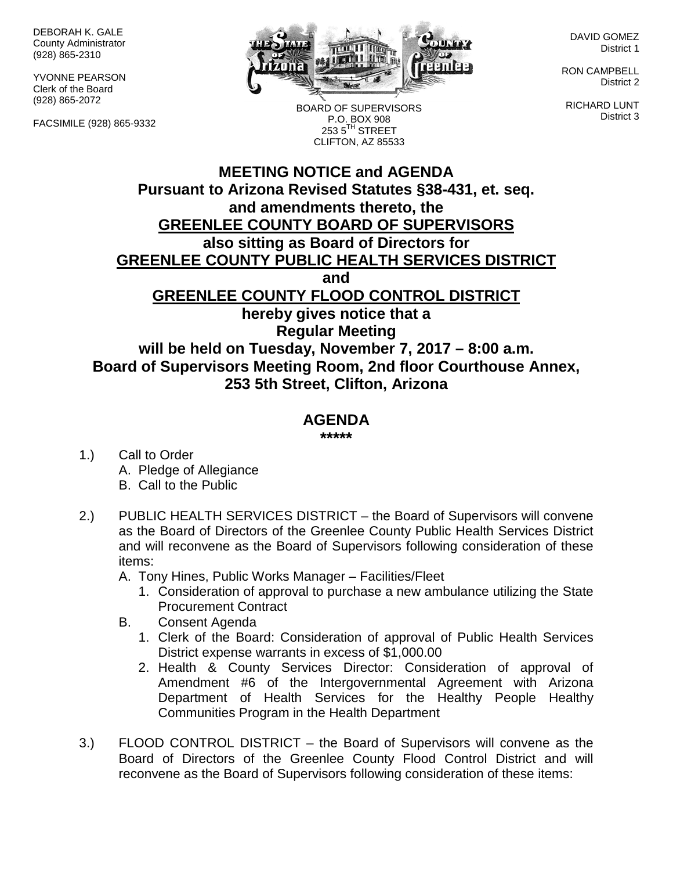DEBORAH K. GALE County Administrator (928) 865-2310

YVONNE PEARSON Clerk of the Board (928) 865-2072

FACSIMILE (928) 865-9332



DAVID GOMEZ District 1

RON CAMPBELL District 2

RICHARD LUNT District 3

BOARD OF SUPERVISORS P.O. BOX 908  $2535^{\text{TH}}$  STREET CLIFTON, AZ 85533

## **MEETING NOTICE and AGENDA Pursuant to Arizona Revised Statutes §38-431, et. seq. and amendments thereto, the GREENLEE COUNTY BOARD OF SUPERVISORS also sitting as Board of Directors for GREENLEE COUNTY PUBLIC HEALTH SERVICES DISTRICT and GREENLEE COUNTY FLOOD CONTROL DISTRICT hereby gives notice that a Regular Meeting will be held on Tuesday, November 7, 2017 – 8:00 a.m. Board of Supervisors Meeting Room, 2nd floor Courthouse Annex, 253 5th Street, Clifton, Arizona**

## **AGENDA**

**\*\*\*\*\***

- 1.) Call to Order A. Pledge of Allegiance B. Call to the Public
- 2.) PUBLIC HEALTH SERVICES DISTRICT the Board of Supervisors will convene as the Board of Directors of the Greenlee County Public Health Services District and will reconvene as the Board of Supervisors following consideration of these items:

A. Tony Hines, Public Works Manager – Facilities/Fleet

- 1. Consideration of approval to purchase a new ambulance utilizing the State Procurement Contract
- B. Consent Agenda
	- 1. Clerk of the Board: Consideration of approval of Public Health Services District expense warrants in excess of \$1,000.00
	- 2. Health & County Services Director: Consideration of approval of Amendment #6 of the Intergovernmental Agreement with Arizona Department of Health Services for the Healthy People Healthy Communities Program in the Health Department
- 3.) FLOOD CONTROL DISTRICT the Board of Supervisors will convene as the Board of Directors of the Greenlee County Flood Control District and will reconvene as the Board of Supervisors following consideration of these items: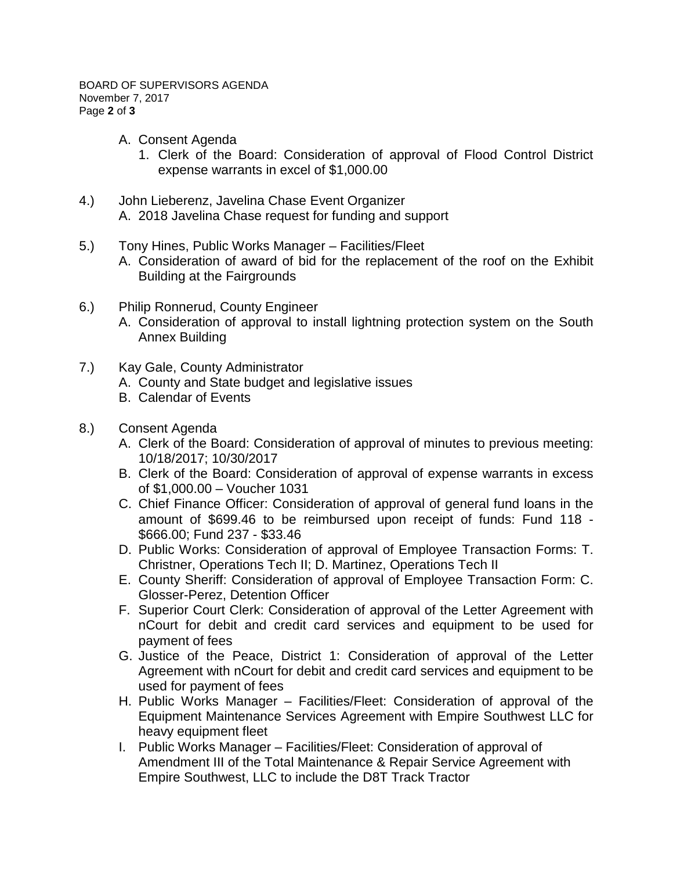- A. Consent Agenda
	- 1. Clerk of the Board: Consideration of approval of Flood Control District expense warrants in excel of \$1,000.00
- 4.) John Lieberenz, Javelina Chase Event Organizer A. 2018 Javelina Chase request for funding and support
- 5.) Tony Hines, Public Works Manager Facilities/Fleet A. Consideration of award of bid for the replacement of the roof on the Exhibit Building at the Fairgrounds
- 6.) Philip Ronnerud, County Engineer
	- A. Consideration of approval to install lightning protection system on the South Annex Building
- 7.) Kay Gale, County Administrator
	- A. County and State budget and legislative issues
	- B. Calendar of Events
- 8.) Consent Agenda
	- A. Clerk of the Board: Consideration of approval of minutes to previous meeting: 10/18/2017; 10/30/2017
	- B. Clerk of the Board: Consideration of approval of expense warrants in excess of \$1,000.00 – Voucher 1031
	- C. Chief Finance Officer: Consideration of approval of general fund loans in the amount of \$699.46 to be reimbursed upon receipt of funds: Fund 118 - \$666.00; Fund 237 - \$33.46
	- D. Public Works: Consideration of approval of Employee Transaction Forms: T. Christner, Operations Tech II; D. Martinez, Operations Tech II
	- E. County Sheriff: Consideration of approval of Employee Transaction Form: C. Glosser-Perez, Detention Officer
	- F. Superior Court Clerk: Consideration of approval of the Letter Agreement with nCourt for debit and credit card services and equipment to be used for payment of fees
	- G. Justice of the Peace, District 1: Consideration of approval of the Letter Agreement with nCourt for debit and credit card services and equipment to be used for payment of fees
	- H. Public Works Manager Facilities/Fleet: Consideration of approval of the Equipment Maintenance Services Agreement with Empire Southwest LLC for heavy equipment fleet
	- I. Public Works Manager Facilities/Fleet: Consideration of approval of Amendment III of the Total Maintenance & Repair Service Agreement with Empire Southwest, LLC to include the D8T Track Tractor